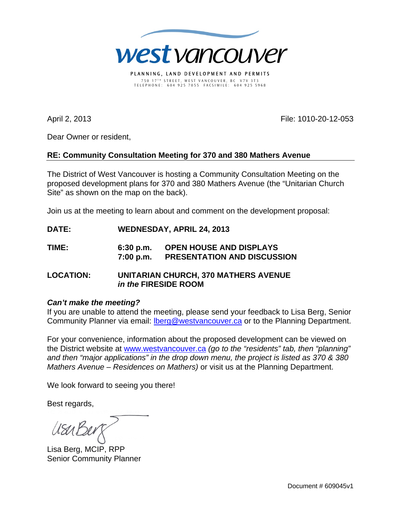

PLANNING, LAND DEVELOPMENT AND PERMITS 750 17 T H STREET, WEST VANCOUVER, BC V7V 3T3 TELEPHONE: 604 925 7055 FACSIMILE: 604 925 5968

April 2, 2013 File: 1010-20-12-053

Dear Owner or resident,

## **RE: Community Consultation Meeting for 370 and 380 Mathers Avenue**

The District of West Vancouver is hosting a Community Consultation Meeting on the proposed development plans for 370 and 380 Mathers Avenue (the "Unitarian Church Site" as shown on the map on the back).

Join us at the meeting to learn about and comment on the development proposal:

- **DATE: WEDNESDAY, APRIL 24, 2013**
- **TIME: 6:30 p.m. OPEN HOUSE AND DISPLAYS 7:00 p.m. PRESENTATION AND DISCUSSION**
- **LOCATION: UNITARIAN CHURCH, 370 MATHERS AVENUE** *in the* **FIRESIDE ROOM**

## *Can't make the meeting?*

If you are unable to attend the meeting, please send your feedback to Lisa Berg, Senior Community Planner via email: **Iberg@westvancouver.ca** or to the Planning Department.

For your convenience, information about the proposed development can be viewed on the District website at www.westvancouver.ca *(go to the "residents" tab, then "planning" and then "major applications" in the drop down menu, the project is listed as 370 & 380 Mathers Avenue – Residences on Mathers)* or visit us at the Planning Department.

We look forward to seeing you there!

Best regards,

Lisa Berg, MCIP, RPP Senior Community Planner